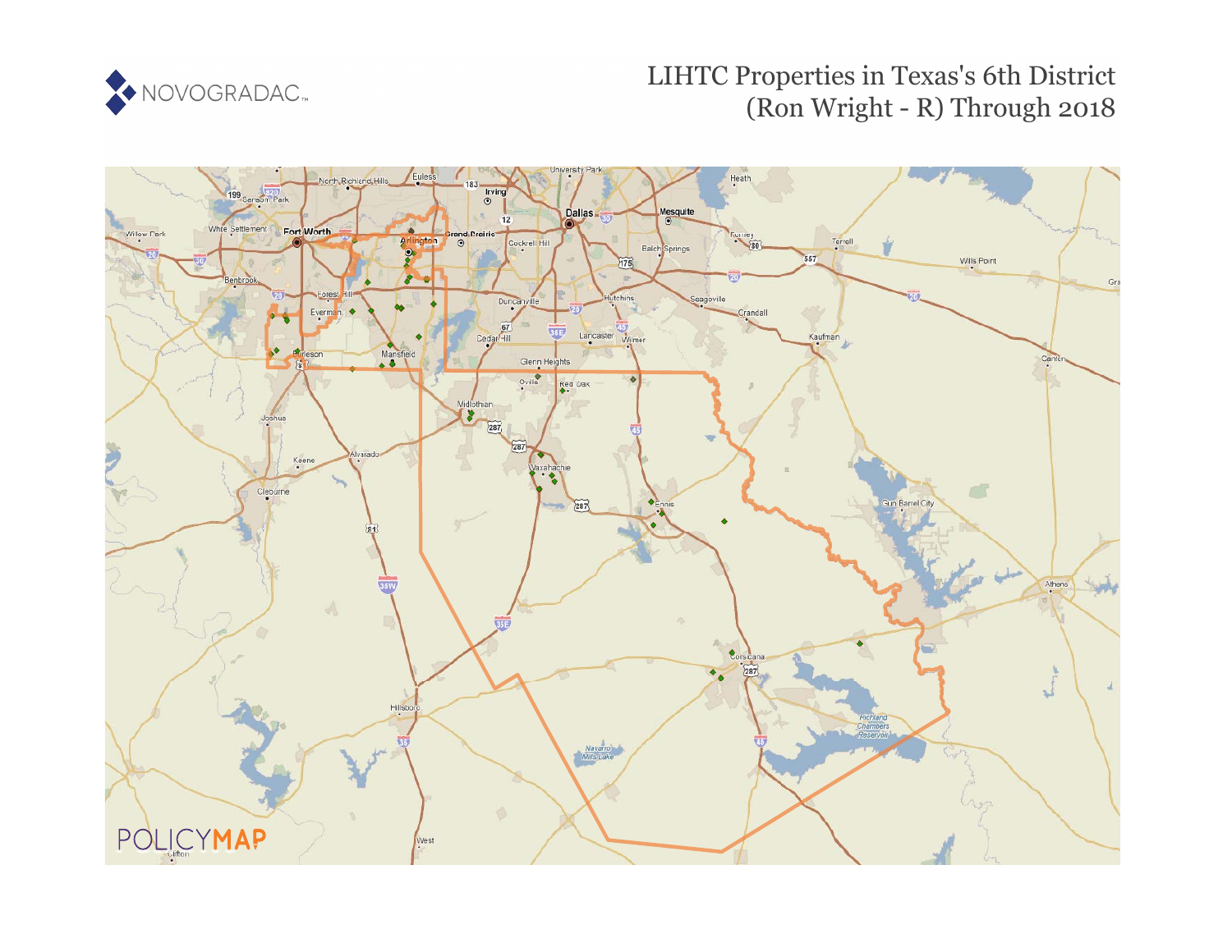

## LIHTC Properties in Texas's 6th District (Ron Wright - R) Through 2018

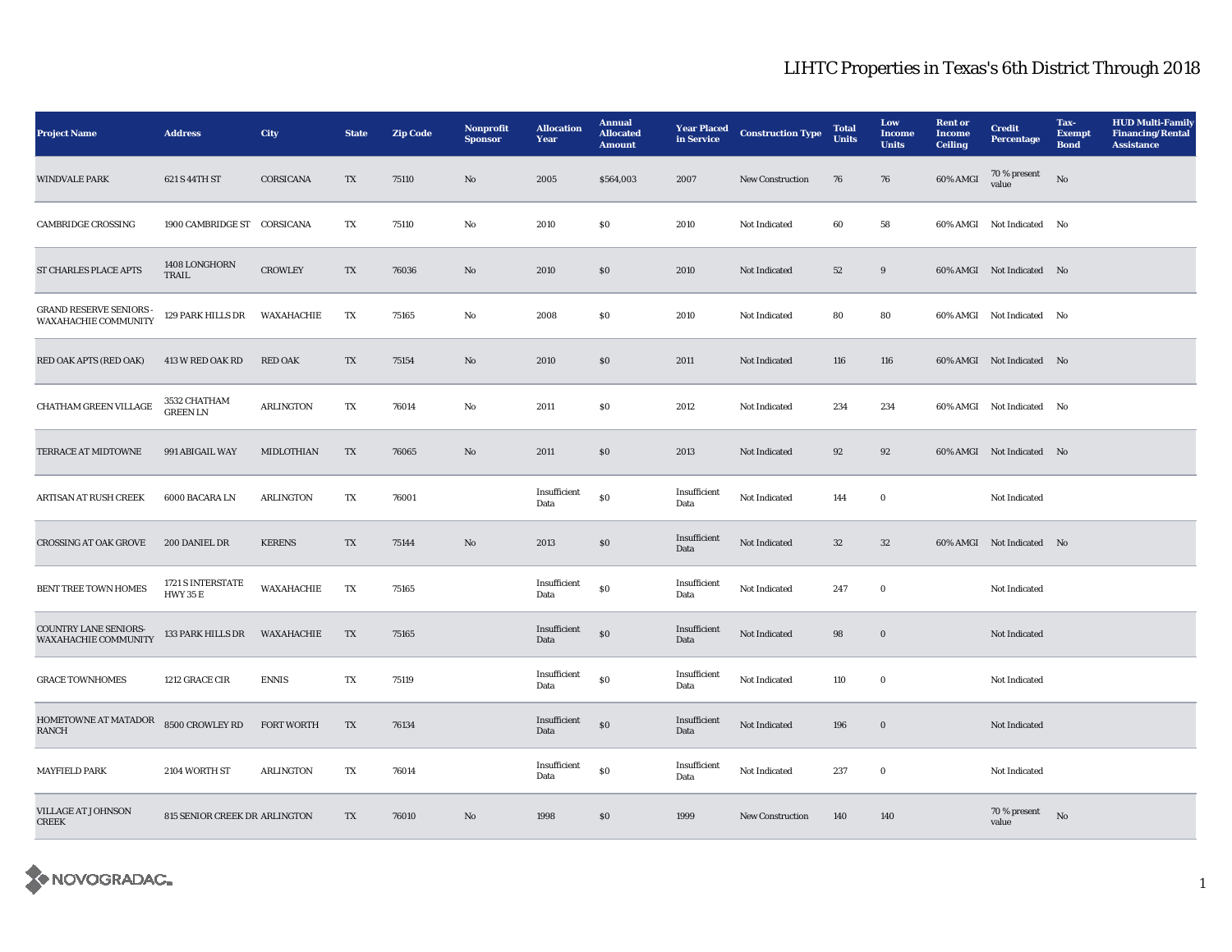## LIHTC Properties in Texas's 6th District Through 2018

| <b>Project Name</b>                                    | <b>Address</b>                       | City              | <b>State</b>           | <b>Zip Code</b> | Nonprofit<br><b>Sponsor</b> | <b>Allocation</b><br>Year | <b>Annual</b><br><b>Allocated</b><br><b>Amount</b> | <b>Year Placed</b><br>in Service | <b>Construction Type</b> | <b>Total</b><br><b>Units</b> | Low<br><b>Income</b><br><b>Units</b> | <b>Rent or</b><br><b>Income</b><br><b>Ceiling</b> | <b>Credit</b><br><b>Percentage</b> | Tax-<br><b>Exempt</b><br><b>Bond</b> | <b>HUD Multi-Family</b><br><b>Financing/Rental</b><br><b>Assistance</b> |
|--------------------------------------------------------|--------------------------------------|-------------------|------------------------|-----------------|-----------------------------|---------------------------|----------------------------------------------------|----------------------------------|--------------------------|------------------------------|--------------------------------------|---------------------------------------------------|------------------------------------|--------------------------------------|-------------------------------------------------------------------------|
| <b>WINDVALE PARK</b>                                   | 621 S 44TH ST                        | CORSICANA         | TX                     | 75110           | No                          | 2005                      | \$564,003                                          | 2007                             | New Construction         | 76                           | 76                                   | 60% AMGI                                          | 70 % present<br>value              | No                                   |                                                                         |
| <b>CAMBRIDGE CROSSING</b>                              | 1900 CAMBRIDGE ST CORSICANA          |                   | TX                     | 75110           | No                          | 2010                      | $\$0$                                              | 2010                             | Not Indicated            | 60                           | 58                                   |                                                   | 60% AMGI Not Indicated No          |                                      |                                                                         |
| ST CHARLES PLACE APTS                                  | 1408 LONGHORN<br>TRAIL               | <b>CROWLEY</b>    | TX                     | 76036           | $\rm No$                    | 2010                      | $\$0$                                              | 2010                             | Not Indicated            | 52                           | $9\,$                                |                                                   | 60% AMGI Not Indicated No          |                                      |                                                                         |
| <b>GRAND RESERVE SENIORS -</b><br>WAXAHACHIE COMMUNITY | 129 PARK HILLS DR                    | WAXAHACHIE        | TX                     | 75165           | $\rm No$                    | 2008                      | $\$0$                                              | 2010                             | Not Indicated            | 80                           | 80                                   |                                                   | 60% AMGI Not Indicated No          |                                      |                                                                         |
| RED OAK APTS (RED OAK)                                 | 413 W RED OAK RD                     | <b>RED OAK</b>    | TX                     | 75154           | No                          | 2010                      | \$0                                                | 2011                             | Not Indicated            | 116                          | 116                                  |                                                   | 60% AMGI Not Indicated No          |                                      |                                                                         |
| CHATHAM GREEN VILLAGE                                  | 3532 CHATHAM<br><b>GREEN LN</b>      | <b>ARLINGTON</b>  | $\mathbf{T}\mathbf{X}$ | 76014           | No                          | 2011                      | $\$0$                                              | 2012                             | Not Indicated            | 234                          | 234                                  |                                                   | 60% AMGI Not Indicated No          |                                      |                                                                         |
| <b>TERRACE AT MIDTOWNE</b>                             | 991 ABIGAIL WAY                      | <b>MIDLOTHIAN</b> | $\mathbf{T}\mathbf{X}$ | 76065           | No                          | 2011                      | $\$0$                                              | 2013                             | Not Indicated            | 92                           | 92                                   |                                                   | 60% AMGI Not Indicated No          |                                      |                                                                         |
| <b>ARTISAN AT RUSH CREEK</b>                           | 6000 BACARA LN                       | <b>ARLINGTON</b>  | TX                     | 76001           |                             | Insufficient<br>Data      | $\$0$                                              | Insufficient<br>Data             | Not Indicated            | 144                          | $\bf{0}$                             |                                                   | Not Indicated                      |                                      |                                                                         |
| <b>CROSSING AT OAK GROVE</b>                           | 200 DANIEL DR                        | <b>KERENS</b>     | TX                     | 75144           | $\mathbf{N}\mathbf{o}$      | 2013                      | \$0                                                | Insufficient<br>Data             | Not Indicated            | 32                           | 32                                   |                                                   | 60% AMGI Not Indicated No          |                                      |                                                                         |
| <b>BENT TREE TOWN HOMES</b>                            | 1721 S INTERSTATE<br><b>HWY 35 E</b> | WAXAHACHIE        | TX                     | 75165           |                             | Insufficient<br>Data      | $\$0$                                              | Insufficient<br>Data             | Not Indicated            | 247                          | $\bf{0}$                             |                                                   | Not Indicated                      |                                      |                                                                         |
| COUNTRY LANE SENIORS-<br><b>WAXAHACHIE COMMUNITY</b>   | 133 PARK HILLS DR                    | WAXAHACHIE        | TX                     | 75165           |                             | Insufficient<br>Data      | $\$0$                                              | Insufficient<br>Data             | Not Indicated            | 98                           | $\bf{0}$                             |                                                   | <b>Not Indicated</b>               |                                      |                                                                         |
| <b>GRACE TOWNHOMES</b>                                 | 1212 GRACE CIR                       | <b>ENNIS</b>      | TX                     | 75119           |                             | Insufficient<br>Data      | $\$0$                                              | Insufficient<br>Data             | Not Indicated            | 110                          | $\bf{0}$                             |                                                   | Not Indicated                      |                                      |                                                                         |
| HOMETOWNE AT MATADOR<br><b>RANCH</b>                   | 8500 CROWLEY RD                      | <b>FORT WORTH</b> | $\mathbf{T}\mathbf{X}$ | 76134           |                             | Insufficient<br>Data      | $\$0$                                              | Insufficient<br>Data             | Not Indicated            | 196                          | $\boldsymbol{0}$                     |                                                   | Not Indicated                      |                                      |                                                                         |
| <b>MAYFIELD PARK</b>                                   | 2104 WORTH ST                        | <b>ARLINGTON</b>  | TX                     | 76014           |                             | Insufficient<br>Data      | ${\bf S0}$                                         | Insufficient<br>Data             | Not Indicated            | 237                          | $\bf{0}$                             |                                                   | Not Indicated                      |                                      |                                                                         |
| <b>VILLAGE AT JOHNSON</b><br><b>CREEK</b>              | 815 SENIOR CREEK DR ARLINGTON        |                   | TX                     | 76010           | No                          | 1998                      | \$0                                                | 1999                             | New Construction         | 140                          | 140                                  |                                                   | 70 % present<br>value              | No                                   |                                                                         |

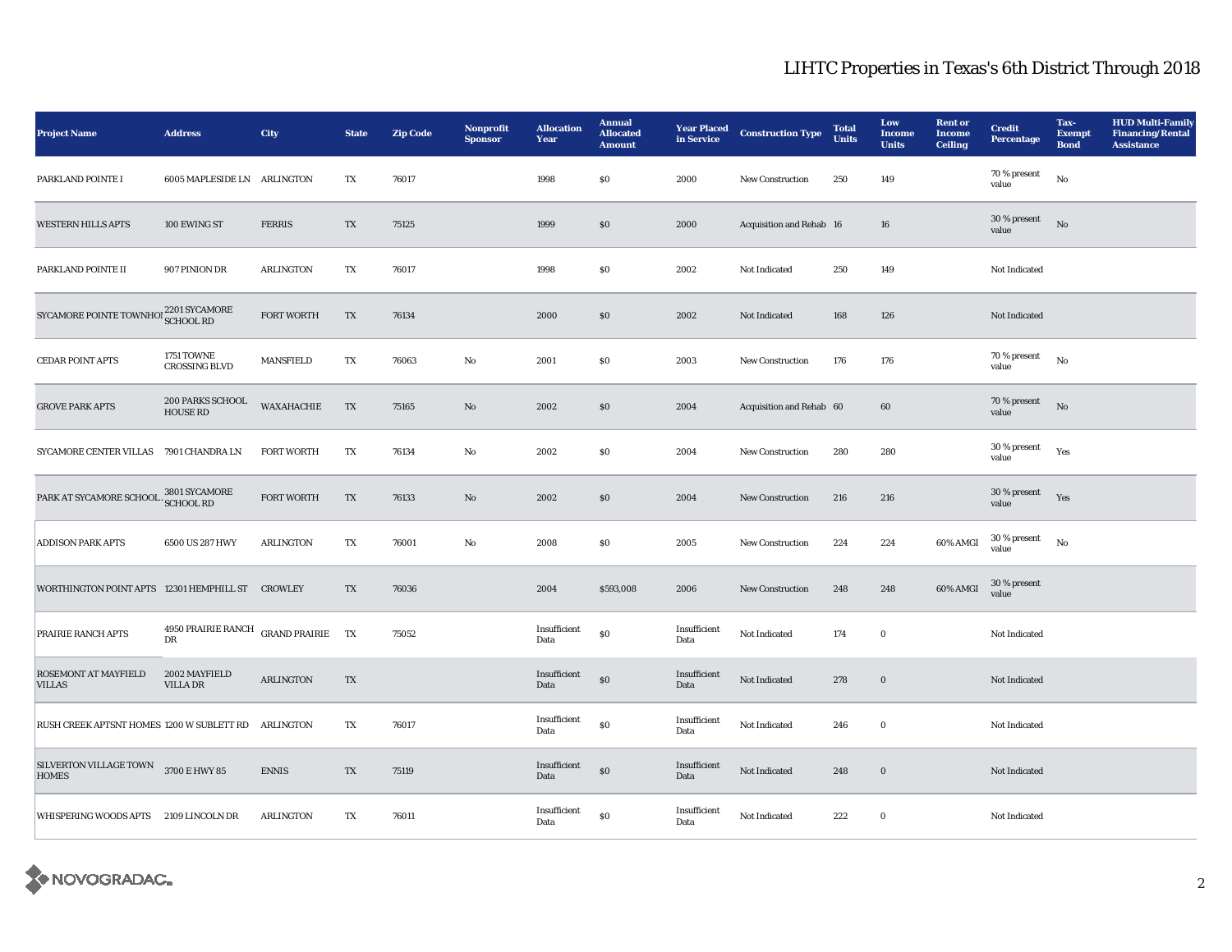## LIHTC Properties in Texas's 6th District Through 2018

| <b>Project Name</b>                                  | <b>Address</b>                      | City                    | <b>State</b> | <b>Zip Code</b> | Nonprofit<br><b>Sponsor</b> | <b>Allocation</b><br>Year | <b>Annual</b><br><b>Allocated</b><br><b>Amount</b> | <b>Year Placed</b><br>in Service | <b>Construction Type</b> | <b>Total</b><br><b>Units</b> | Low<br><b>Income</b><br><b>Units</b> | <b>Rent or</b><br><b>Income</b><br><b>Ceiling</b> | <b>Credit</b><br><b>Percentage</b> | Tax-<br><b>Exempt</b><br><b>Bond</b> | <b>HUD Multi-Family</b><br><b>Financing/Rental</b><br><b>Assistance</b> |
|------------------------------------------------------|-------------------------------------|-------------------------|--------------|-----------------|-----------------------------|---------------------------|----------------------------------------------------|----------------------------------|--------------------------|------------------------------|--------------------------------------|---------------------------------------------------|------------------------------------|--------------------------------------|-------------------------------------------------------------------------|
| PARKLAND POINTE I                                    | 6005 MAPLESIDE LN ARLINGTON         |                         | TX           | 76017           |                             | 1998                      | \$0                                                | 2000                             | <b>New Construction</b>  | 250                          | 149                                  |                                                   | 70 % present<br>value              | $_{\rm No}$                          |                                                                         |
| <b>WESTERN HILLS APTS</b>                            | 100 EWING ST                        | <b>FERRIS</b>           | TX           | 75125           |                             | 1999                      | $\$0$                                              | 2000                             | Acquisition and Rehab 16 |                              | 16                                   |                                                   | 30 % present<br>value              | No                                   |                                                                         |
| PARKLAND POINTE II                                   | 907 PINION DR                       | <b>ARLINGTON</b>        | TX           | 76017           |                             | 1998                      | \$0                                                | 2002                             | Not Indicated            | 250                          | 149                                  |                                                   | Not Indicated                      |                                      |                                                                         |
| SYCAMORE POINTE TOWNHOI 2201 SYCAMORE                |                                     | <b>FORT WORTH</b>       | TX           | 76134           |                             | 2000                      | S <sub>0</sub>                                     | 2002                             | Not Indicated            | 168                          | 126                                  |                                                   | Not Indicated                      |                                      |                                                                         |
| <b>CEDAR POINT APTS</b>                              | 1751 TOWNE<br><b>CROSSING BLVD</b>  | <b>MANSFIELD</b>        | TX           | 76063           | No                          | 2001                      | \$0                                                | 2003                             | <b>New Construction</b>  | 176                          | 176                                  |                                                   | 70 % present<br>value              | No                                   |                                                                         |
| <b>GROVE PARK APTS</b>                               | 200 PARKS SCHOOL<br><b>HOUSE RD</b> | WAXAHACHIE              | TX           | 75165           | No                          | 2002                      | $\$0$                                              | 2004                             | Acquisition and Rehab 60 |                              | 60                                   |                                                   | 70 % present<br>value              | No                                   |                                                                         |
| SYCAMORE CENTER VILLAS 7901 CHANDRA LN               |                                     | <b>FORT WORTH</b>       | TX           | 76134           | No                          | 2002                      | \$0                                                | 2004                             | New Construction         | 280                          | 280                                  |                                                   | 30 % present<br>value              | Yes                                  |                                                                         |
| PARK AT SYCAMORE SCHOOL 3801 SYCAMORE                |                                     | <b>FORT WORTH</b>       | TX           | 76133           | No                          | 2002                      | S <sub>0</sub>                                     | 2004                             | <b>New Construction</b>  | 216                          | 216                                  |                                                   | 30 % present<br>value              | Yes                                  |                                                                         |
| <b>ADDISON PARK APTS</b>                             | 6500 US 287 HWY                     | <b>ARLINGTON</b>        | TX           | 76001           | No                          | 2008                      | \$0                                                | 2005                             | <b>New Construction</b>  | 224                          | 224                                  | 60% AMGI                                          | 30 % present<br>value              | No                                   |                                                                         |
| WORTHINGTON POINT APTS 12301 HEMPHILL ST CROWLEY     |                                     |                         | TX           | 76036           |                             | 2004                      | \$593,008                                          | 2006                             | New Construction         | 248                          | 248                                  | 60% AMGI                                          | 30 % present<br>value              |                                      |                                                                         |
| PRAIRIE RANCH APTS                                   | 4950 PRAIRIE RANCH<br>$_{\rm DR}$   | <b>GRAND PRAIRIE TX</b> |              | 75052           |                             | Insufficient<br>Data      | $\$0$                                              | Insufficient<br>Data             | Not Indicated            | 174                          | $\bf{0}$                             |                                                   | Not Indicated                      |                                      |                                                                         |
| <b>ROSEMONT AT MAYFIELD</b><br><b>VILLAS</b>         | 2002 MAYFIELD<br><b>VILLA DR</b>    | <b>ARLINGTON</b>        | TX           |                 |                             | Insufficient<br>Data      | $\$0$                                              | Insufficient<br>Data             | Not Indicated            | 278                          | $\bf{0}$                             |                                                   | Not Indicated                      |                                      |                                                                         |
| RUSH CREEK APTSNT HOMES 1200 W SUBLETT RD            |                                     | ARLINGTON               | TX           | 76017           |                             | Insufficient<br>Data      | \$0                                                | Insufficient<br>Data             | Not Indicated            | 246                          | $\bf{0}$                             |                                                   | Not Indicated                      |                                      |                                                                         |
| SILVERTON VILLAGE TOWN 3700 E HWY 85<br><b>HOMES</b> |                                     | <b>ENNIS</b>            | TX           | 75119           |                             | Insufficient<br>Data      | \$0                                                | Insufficient<br>Data             | Not Indicated            | 248                          | $\bf{0}$                             |                                                   | <b>Not Indicated</b>               |                                      |                                                                         |
| WHISPERING WOODS APTS 2109 LINCOLN DR                |                                     | <b>ARLINGTON</b>        | TX           | 76011           |                             | Insufficient<br>Data      | S <sub>0</sub>                                     | Insufficient<br>Data             | Not Indicated            | 222                          | $\bf{0}$                             |                                                   | Not Indicated                      |                                      |                                                                         |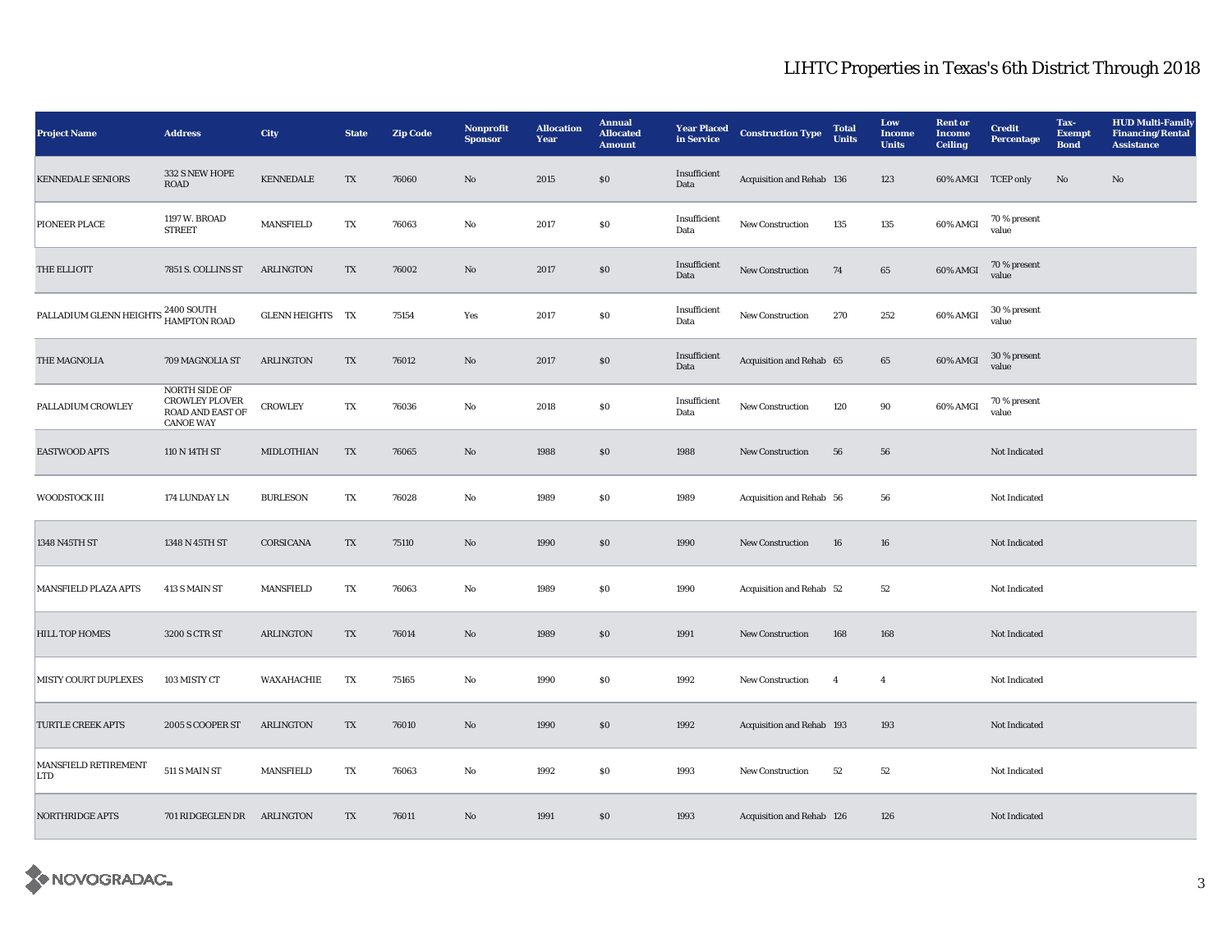## LIHTC Properties in Texas's 6th District Through 2018

| <b>Project Name</b>                                        | <b>Address</b>                                                                               | City                    | <b>State</b>            | <b>Zip Code</b> | Nonprofit<br><b>Sponsor</b> | <b>Allocation</b><br>Year | <b>Annual</b><br><b>Allocated</b><br><b>Amount</b> | <b>Year Placed</b><br>in Service | <b>Construction Type</b>  | <b>Total</b><br><b>Units</b> | Low<br><b>Income</b><br><b>Units</b> | <b>Rent</b> or<br><b>Income</b><br><b>Ceiling</b> | <b>Credit</b><br>Percentage | Tax-<br><b>Exempt</b><br><b>Bond</b> | <b>HUD Multi-Family</b><br><b>Financing/Rental</b><br><b>Assistance</b> |
|------------------------------------------------------------|----------------------------------------------------------------------------------------------|-------------------------|-------------------------|-----------------|-----------------------------|---------------------------|----------------------------------------------------|----------------------------------|---------------------------|------------------------------|--------------------------------------|---------------------------------------------------|-----------------------------|--------------------------------------|-------------------------------------------------------------------------|
| <b>KENNEDALE SENIORS</b>                                   | 332 S NEW HOPE<br><b>ROAD</b>                                                                | <b>KENNEDALE</b>        | $\mathbf{T}\mathbf{X}$  | 76060           | $\mathbf{N}\mathbf{o}$      | 2015                      | $\$0$                                              | Insufficient<br>Data             | Acquisition and Rehab 136 |                              | 123                                  | 60% AMGI TCEP only                                |                             | $\mathbf{N}\mathbf{o}$               | No                                                                      |
| PIONEER PLACE                                              | 1197 W. BROAD<br><b>STREET</b>                                                               | <b>MANSFIELD</b>        | TX                      | 76063           | No                          | 2017                      | \$0                                                | Insufficient<br>Data             | New Construction          | 135                          | 135                                  | 60% AMGI                                          | 70 % present<br>value       |                                      |                                                                         |
| THE ELLIOTT                                                | 7851 S. COLLINS ST                                                                           | <b>ARLINGTON</b>        | TX                      | 76002           | No                          | 2017                      | $\$0$                                              | Insufficient<br>Data             | New Construction          | 74                           | 65                                   | 60% AMGI                                          | 70 % present<br>value       |                                      |                                                                         |
| PALLADIUM GLENN HEIGHTS <sup>2400</sup> SOUTH HAMPTON ROAD |                                                                                              | <b>GLENN HEIGHTS TX</b> |                         | 75154           | Yes                         | 2017                      | $\$0$                                              | Insufficient<br>Data             | New Construction          | 270                          | 252                                  | 60% AMGI                                          | 30 % present<br>value       |                                      |                                                                         |
| THE MAGNOLIA                                               | 709 MAGNOLIA ST                                                                              | <b>ARLINGTON</b>        | TX                      | 76012           | No                          | 2017                      | \$0                                                | Insufficient<br>Data             | Acquisition and Rehab 65  |                              | 65                                   | 60% AMGI                                          | 30 % present<br>value       |                                      |                                                                         |
| PALLADIUM CROWLEY                                          | <b>NORTH SIDE OF</b><br><b>CROWLEY PLOVER</b><br><b>ROAD AND EAST OF</b><br><b>CANOE WAY</b> | <b>CROWLEY</b>          | $\mathbf{T}\mathbf{X}$  | 76036           | $\mathbf{No}$               | 2018                      | $\$0$                                              | Insufficient<br>Data             | <b>New Construction</b>   | 120                          | 90                                   | 60% AMGI                                          | 70 % present<br>value       |                                      |                                                                         |
| <b>EASTWOOD APTS</b>                                       | 110 N 14TH ST                                                                                | MIDLOTHIAN              | $\mathbf{T} \mathbf{X}$ | 76065           | $\mathbf{N}\mathbf{o}$      | 1988                      | $\$0$                                              | 1988                             | <b>New Construction</b>   | 56                           | 56                                   |                                                   | Not Indicated               |                                      |                                                                         |
| WOODSTOCK III                                              | 174 LUNDAY LN                                                                                | <b>BURLESON</b>         | TX                      | 76028           | No                          | 1989                      | \$0                                                | 1989                             | Acquisition and Rehab 56  |                              | 56                                   |                                                   | Not Indicated               |                                      |                                                                         |
| 1348 N45TH ST                                              | 1348 N 45TH ST                                                                               | CORSICANA               | TX                      | 75110           | $\rm\thinspace No$          | 1990                      | $\$0$                                              | 1990                             | New Construction          | 16                           | 16                                   |                                                   | Not Indicated               |                                      |                                                                         |
| MANSFIELD PLAZA APTS                                       | 413 S MAIN ST                                                                                | <b>MANSFIELD</b>        | TX                      | 76063           | No                          | 1989                      | $\$0$                                              | 1990                             | Acquisition and Rehab 52  |                              | 52                                   |                                                   | Not Indicated               |                                      |                                                                         |
| <b>HILL TOP HOMES</b>                                      | 3200 S CTR ST                                                                                | <b>ARLINGTON</b>        | TX                      | 76014           | No                          | 1989                      | $\$0$                                              | 1991                             | New Construction          | 168                          | 168                                  |                                                   | Not Indicated               |                                      |                                                                         |
| <b>MISTY COURT DUPLEXES</b>                                | 103 MISTY CT                                                                                 | WAXAHACHIE              | TX                      | 75165           | $\rm No$                    | 1990                      | \$0                                                | 1992                             | New Construction          | $\overline{4}$               | $\overline{4}$                       |                                                   | Not Indicated               |                                      |                                                                         |
| <b>TURTLE CREEK APTS</b>                                   | 2005 S COOPER ST                                                                             | <b>ARLINGTON</b>        | TX                      | 76010           | No                          | 1990                      | \$0                                                | 1992                             | Acquisition and Rehab 193 |                              | 193                                  |                                                   | Not Indicated               |                                      |                                                                         |
| MANSFIELD RETIREMENT<br>LTD                                | $511$ S MAIN ST                                                                              | <b>MANSFIELD</b>        | TX                      | 76063           | No                          | 1992                      | \$0                                                | 1993                             | <b>New Construction</b>   | 52                           | 52                                   |                                                   | <b>Not Indicated</b>        |                                      |                                                                         |
| <b>NORTHRIDGE APTS</b>                                     | 701 RIDGEGLEN DR                                                                             | <b>ARLINGTON</b>        | TX                      | 76011           | No                          | 1991                      | $\$0$                                              | 1993                             | Acquisition and Rehab 126 |                              | 126                                  |                                                   | Not Indicated               |                                      |                                                                         |